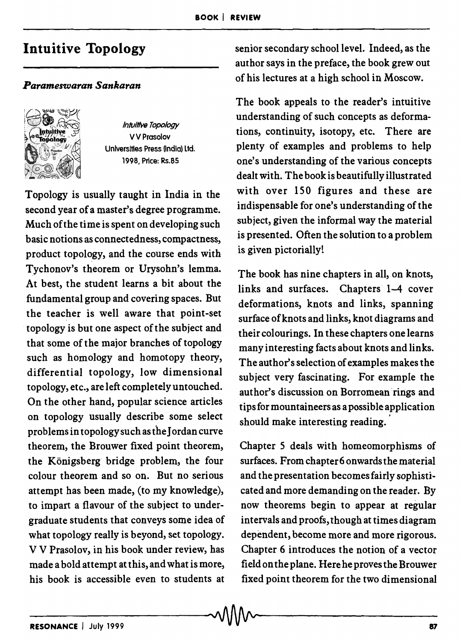## Intuitive Topology

## *Parameswaran Sankaran*



Intuitive Topology VVPrasolov Universities Press (India) ltd. 1998, Price: Rs.85

Topology is usually taught in India in the second year of a master's degree programme. Much of the time is spent on developing such basic notions as connectedness, compactness, product topology, and the course ends with Tychonov's theorem or Urysohn's lemma. At best, the student learns a bit about the fundamental group and covering spaces. But the teacher is well aware that point-set topology is but one aspect of the subject and that some of the major branches of topology such as homology and homotopy theory, differential topology, low dimensional topology, etc., are left completely untouched. On the other hand, popular science articles on topology usually describe some select problems in topology such as the Jordan curve theorem, the Brouwer fixed point theorem, the Konigsberg bridge problem, the four colour theorem and so on. But no serious attempt has been made, (to my knowledge), to impart a flavour of the subject to undergraduate students that conveys some idea of what topology really is beyond, set topology. V V Prasolov, in his book under review, has made a bold attempt at this, and what is more, his book is accessible even to students at senior secondary school level. Indeed, as the author says in the preface, the book grew out of his lectures at a high school in Moscow.

The book appeals to the reader's intuitive understanding of such concepts as deformations, continuity, isotopy, etc. There are plenty of examples and problems to help one's understanding of the various concepts dealt with. The book is beautifully illustrated with over 150 figures and these are indispensable for one's understanding of the subject, given the informal way the material is presented. Often the solution to a problem is given pictorially!

The book has nine chapters in all, on knots, links and surfaces. Chapters 1-4 cover deformations, knots and links, spanning surface of knots and links, knot diagrams and their colourings. In these chapters one learns many interesting facts about knots and links. The author's selection of examples makes the subject very fascinating. For example the author's discussion on Borromean rings and tips for mountaineers as a possible application should make interesting reading.

Chapter 5 deals with homeomorphisms of surfaces. From chapter 6 onwards the material and the presentation becomes fairly sophisticated and more demanding on the reader. By now theorems begin to appear at regular intervals and proofs, though at times diagram dependent, become more and more rigorous. Chapter 6 introduces the notion of a vector field on the plane. Here he proves the Brouwer fixed point theorem for the two dimensional